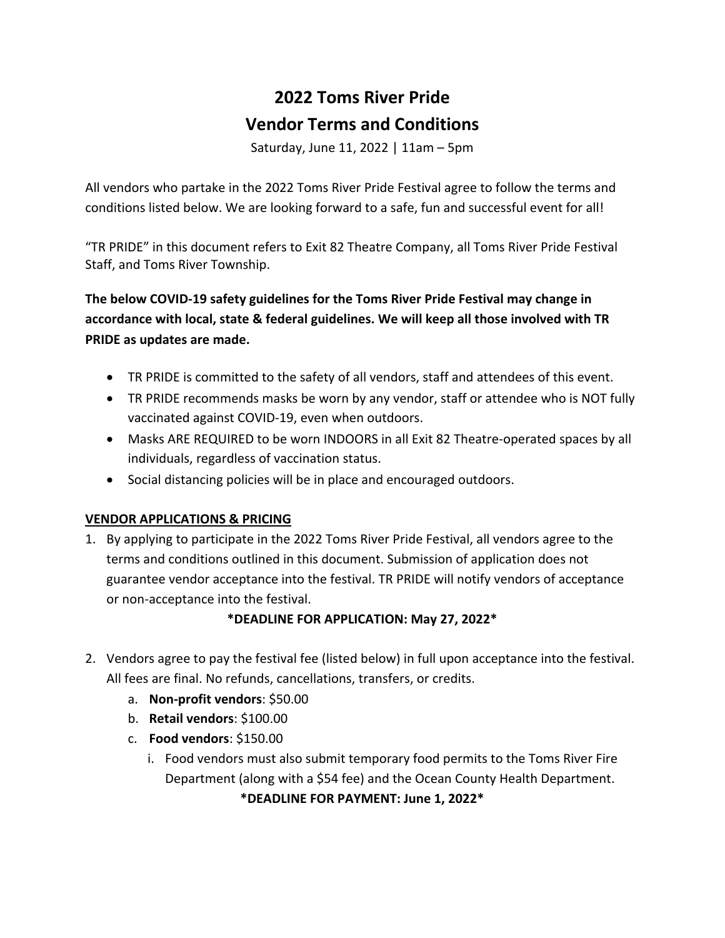# **2022 Toms River Pride Vendor Terms and Conditions**

Saturday, June 11, 2022 | 11am – 5pm

All vendors who partake in the 2022 Toms River Pride Festival agree to follow the terms and conditions listed below. We are looking forward to a safe, fun and successful event for all!

"TR PRIDE" in this document refers to Exit 82 Theatre Company, all Toms River Pride Festival Staff, and Toms River Township.

**The below COVID-19 safety guidelines for the Toms River Pride Festival may change in accordance with local, state & federal guidelines. We will keep all those involved with TR PRIDE as updates are made.** 

- TR PRIDE is committed to the safety of all vendors, staff and attendees of this event.
- TR PRIDE recommends masks be worn by any vendor, staff or attendee who is NOT fully vaccinated against COVID-19, even when outdoors.
- Masks ARE REQUIRED to be worn INDOORS in all Exit 82 Theatre-operated spaces by all individuals, regardless of vaccination status.
- Social distancing policies will be in place and encouraged outdoors.

# **VENDOR APPLICATIONS & PRICING**

1. By applying to participate in the 2022 Toms River Pride Festival, all vendors agree to the terms and conditions outlined in this document. Submission of application does not guarantee vendor acceptance into the festival. TR PRIDE will notify vendors of acceptance or non-acceptance into the festival.

# **\*DEADLINE FOR APPLICATION: May 27, 2022\***

- 2. Vendors agree to pay the festival fee (listed below) in full upon acceptance into the festival. All fees are final. No refunds, cancellations, transfers, or credits.
	- a. **Non-profit vendors**: \$50.00
	- b. **Retail vendors**: \$100.00
	- c. **Food vendors**: \$150.00
		- i. Food vendors must also submit temporary food permits to the Toms River Fire Department (along with a \$54 fee) and the Ocean County Health Department. **\*DEADLINE FOR PAYMENT: June 1, 2022\***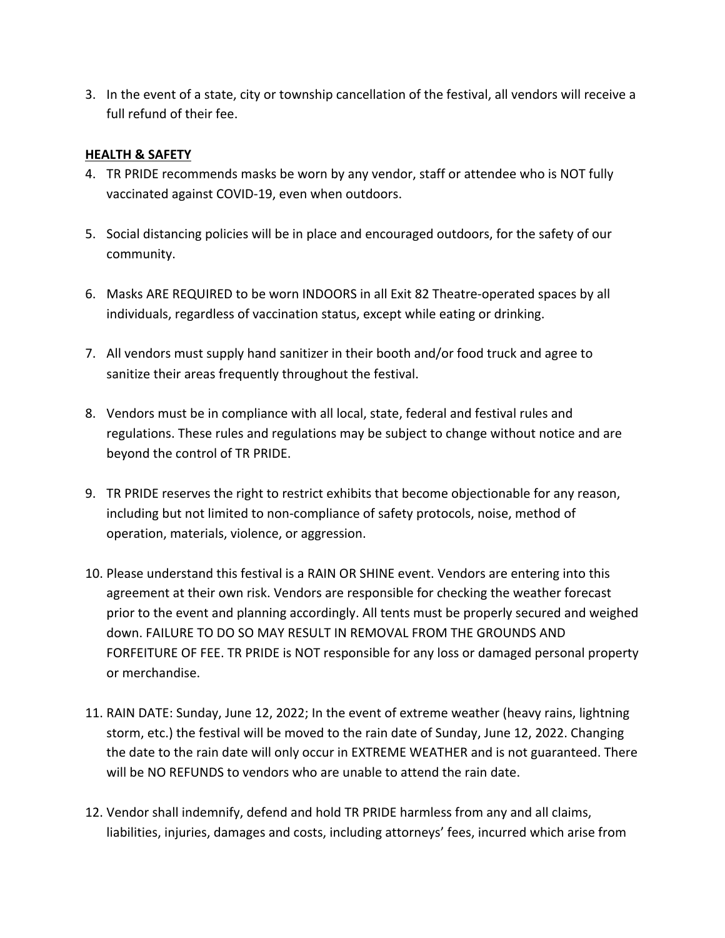3. In the event of a state, city or township cancellation of the festival, all vendors will receive a full refund of their fee.

#### **HEALTH & SAFETY**

- 4. TR PRIDE recommends masks be worn by any vendor, staff or attendee who is NOT fully vaccinated against COVID-19, even when outdoors.
- 5. Social distancing policies will be in place and encouraged outdoors, for the safety of our community.
- 6. Masks ARE REQUIRED to be worn INDOORS in all Exit 82 Theatre-operated spaces by all individuals, regardless of vaccination status, except while eating or drinking.
- 7. All vendors must supply hand sanitizer in their booth and/or food truck and agree to sanitize their areas frequently throughout the festival.
- 8. Vendors must be in compliance with all local, state, federal and festival rules and regulations. These rules and regulations may be subject to change without notice and are beyond the control of TR PRIDE.
- 9. TR PRIDE reserves the right to restrict exhibits that become objectionable for any reason, including but not limited to non-compliance of safety protocols, noise, method of operation, materials, violence, or aggression.
- 10. Please understand this festival is a RAIN OR SHINE event. Vendors are entering into this agreement at their own risk. Vendors are responsible for checking the weather forecast prior to the event and planning accordingly. All tents must be properly secured and weighed down. FAILURE TO DO SO MAY RESULT IN REMOVAL FROM THE GROUNDS AND FORFEITURE OF FEE. TR PRIDE is NOT responsible for any loss or damaged personal property or merchandise.
- 11. RAIN DATE: Sunday, June 12, 2022; In the event of extreme weather (heavy rains, lightning storm, etc.) the festival will be moved to the rain date of Sunday, June 12, 2022. Changing the date to the rain date will only occur in EXTREME WEATHER and is not guaranteed. There will be NO REFUNDS to vendors who are unable to attend the rain date.
- 12. Vendor shall indemnify, defend and hold TR PRIDE harmless from any and all claims, liabilities, injuries, damages and costs, including attorneys' fees, incurred which arise from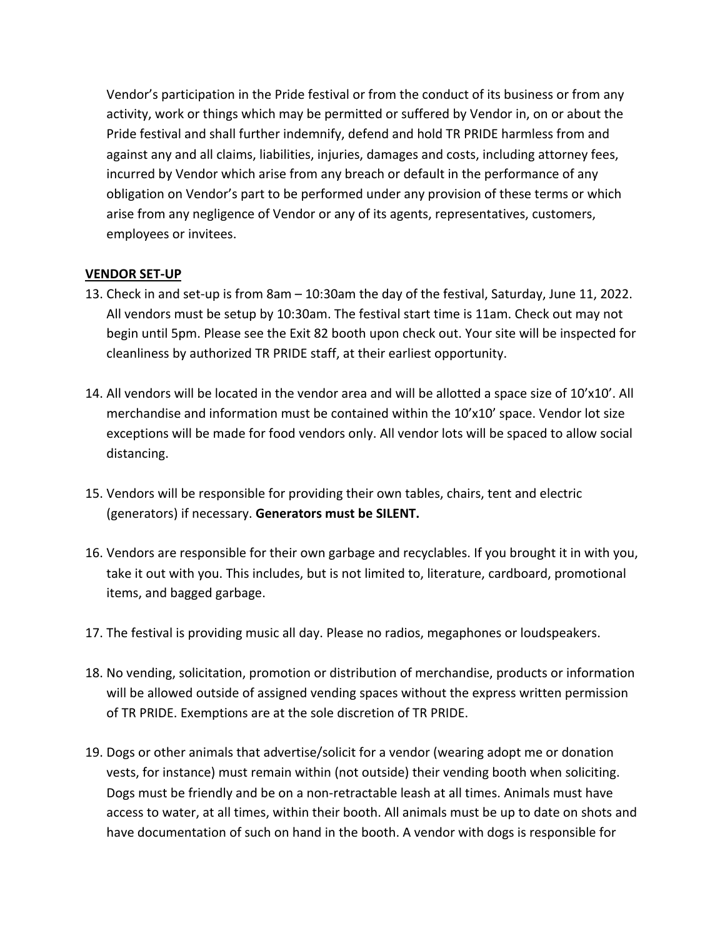Vendor's participation in the Pride festival or from the conduct of its business or from any activity, work or things which may be permitted or suffered by Vendor in, on or about the Pride festival and shall further indemnify, defend and hold TR PRIDE harmless from and against any and all claims, liabilities, injuries, damages and costs, including attorney fees, incurred by Vendor which arise from any breach or default in the performance of any obligation on Vendor's part to be performed under any provision of these terms or which arise from any negligence of Vendor or any of its agents, representatives, customers, employees or invitees.

## **VENDOR SET-UP**

- 13. Check in and set-up is from 8am 10:30am the day of the festival, Saturday, June 11, 2022. All vendors must be setup by 10:30am. The festival start time is 11am. Check out may not begin until 5pm. Please see the Exit 82 booth upon check out. Your site will be inspected for cleanliness by authorized TR PRIDE staff, at their earliest opportunity.
- 14. All vendors will be located in the vendor area and will be allotted a space size of 10'x10'. All merchandise and information must be contained within the 10'x10' space. Vendor lot size exceptions will be made for food vendors only. All vendor lots will be spaced to allow social distancing.
- 15. Vendors will be responsible for providing their own tables, chairs, tent and electric (generators) if necessary. **Generators must be SILENT.**
- 16. Vendors are responsible for their own garbage and recyclables. If you brought it in with you, take it out with you. This includes, but is not limited to, literature, cardboard, promotional items, and bagged garbage.
- 17. The festival is providing music all day. Please no radios, megaphones or loudspeakers.
- 18. No vending, solicitation, promotion or distribution of merchandise, products or information will be allowed outside of assigned vending spaces without the express written permission of TR PRIDE. Exemptions are at the sole discretion of TR PRIDE.
- 19. Dogs or other animals that advertise/solicit for a vendor (wearing adopt me or donation vests, for instance) must remain within (not outside) their vending booth when soliciting. Dogs must be friendly and be on a non-retractable leash at all times. Animals must have access to water, at all times, within their booth. All animals must be up to date on shots and have documentation of such on hand in the booth. A vendor with dogs is responsible for